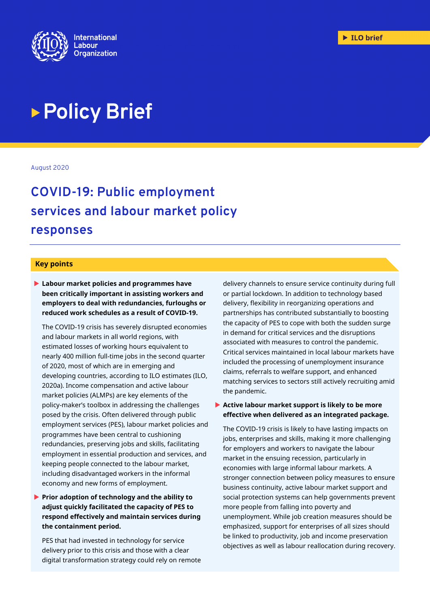

# **Policy Brief**

August 2020

## **COVID-19: Public employment services and labour market policy responses**

#### **Key points**

 **Labour market policies and programmes have been critically important in assisting workers and employers to deal with redundancies, furloughs or reduced work schedules as a result of COVID-19.**

The COVID-19 crisis has severely disrupted economies and labour markets in all world regions, with estimated losses of working hours equivalent to nearly 400 million full-time jobs in the second quarter of 2020, most of which are in emerging and developing countries, according to ILO estimates (ILO, 2020a). Income compensation and active labour market policies (ALMPs) are key elements of the policy-maker's toolbox in addressing the challenges posed by the crisis. Often delivered through public employment services (PES), labour market policies and programmes have been central to cushioning redundancies, preserving jobs and skills, facilitating employment in essential production and services, and keeping people connected to the labour market, including disadvantaged workers in the informal economy and new forms of employment.

**Prior adoption of technology and the ability to adjust quickly facilitated the capacity of PES to respond effectively and maintain services during the containment period.**

PES that had invested in technology for service delivery prior to this crisis and those with a clear digital transformation strategy could rely on remote

delivery channels to ensure service continuity during full or partial lockdown. In addition to technology based delivery, flexibility in reorganizing operations and partnerships has contributed substantially to boosting the capacity of PES to cope with both the sudden surge in demand for critical services and the disruptions associated with measures to control the pandemic. Critical services maintained in local labour markets have included the processing of unemployment insurance claims, referrals to welfare support, and enhanced matching services to sectors still actively recruiting amid the pandemic.

#### **Active labour market support is likely to be more effective when delivered as an integrated package.**

The COVID-19 crisis is likely to have lasting impacts on jobs, enterprises and skills, making it more challenging for employers and workers to navigate the labour market in the ensuing recession, particularly in economies with large informal labour markets. A stronger connection between policy measures to ensure business continuity, active labour market support and social protection systems can help governments prevent more people from falling into poverty and unemployment. While job creation measures should be emphasized, support for enterprises of all sizes should be linked to productivity, job and income preservation objectives as well as labour reallocation during recovery.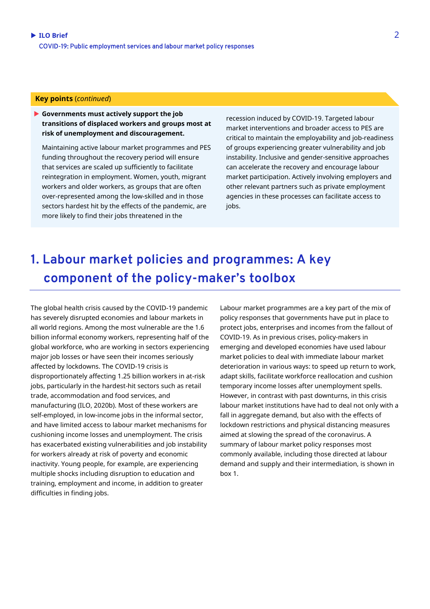#### **Key points** (*continued*)

 **Governments must actively support the job transitions of displaced workers and groups most at risk of unemployment and discouragement.**

Maintaining active labour market programmes and PES funding throughout the recovery period will ensure that services are scaled up sufficiently to facilitate reintegration in employment. Women, youth, migrant workers and older workers, as groups that are often over-represented among the low-skilled and in those sectors hardest hit by the effects of the pandemic, are more likely to find their jobs threatened in the

recession induced by COVID-19. Targeted labour market interventions and broader access to PES are critical to maintain the employability and job-readiness of groups experiencing greater vulnerability and job instability. Inclusive and gender-sensitive approaches can accelerate the recovery and encourage labour market participation. Actively involving employers and other relevant partners such as private employment agencies in these processes can facilitate access to jobs.

## **1. Labour market policies and programmes: A key component of the policy-maker's toolbox**

The global health crisis caused by the COVID-19 pandemic has severely disrupted economies and labour markets in all world regions. Among the most vulnerable are the 1.6 billion informal economy workers, representing half of the global workforce, who are working in sectors experiencing major job losses or have seen their incomes seriously affected by lockdowns. The COVID-19 crisis is disproportionately affecting 1.25 billion workers in at-risk jobs, particularly in the hardest-hit sectors such as retail trade, accommodation and food services, and manufacturing (ILO, 2020b). Most of these workers are self-employed, in low-income jobs in the informal sector, and have limited access to labour market mechanisms for cushioning income losses and unemployment. The crisis has exacerbated existing vulnerabilities and job instability for workers already at risk of poverty and economic inactivity. Young people, for example, are experiencing multiple shocks including disruption to education and training, employment and income, in addition to greater difficulties in finding jobs.

Labour market programmes are a key part of the mix of policy responses that governments have put in place to protect jobs, enterprises and incomes from the fallout of COVID-19. As in previous crises, policy-makers in emerging and developed economies have used labour market policies to deal with immediate labour market deterioration in various ways: to speed up return to work, adapt skills, facilitate workforce reallocation and cushion temporary income losses after unemployment spells. However, in contrast with past downturns, in this crisis labour market institutions have had to deal not only with a fall in aggregate demand, but also with the effects of lockdown restrictions and physical distancing measures aimed at slowing the spread of the coronavirus. A summary of labour market policy responses most commonly available, including those directed at labour demand and supply and their intermediation, is shown in box 1.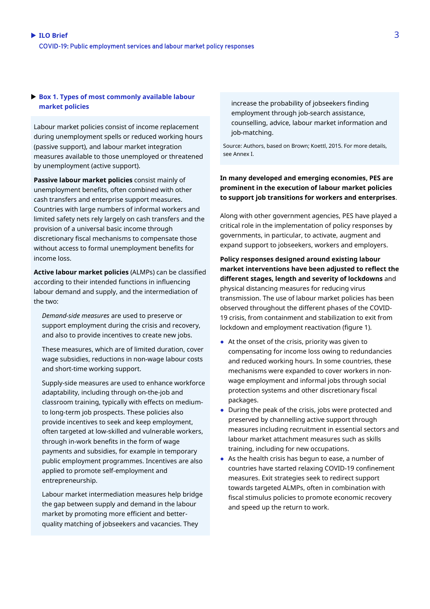#### **Box 1. Types of most commonly available labour market policies**

Labour market policies consist of income replacement during unemployment spells or reduced working hours (passive support), and labour market integration measures available to those unemployed or threatened by unemployment (active support).

**Passive labour market policies** consist mainly of unemployment benefits, often combined with other cash transfers and enterprise support measures. Countries with large numbers of informal workers and limited safety nets rely largely on cash transfers and the provision of a universal basic income through discretionary fiscal mechanisms to compensate those without access to formal unemployment benefits for income loss.

**Active labour market policies** (ALMPs) can be classified according to their intended functions in influencing labour demand and supply, and the intermediation of the two:

*Demand-side measures* are used to preserve or support employment during the crisis and recovery, and also to provide incentives to create new jobs.

These measures, which are of limited duration, cover wage subsidies, reductions in non-wage labour costs and short-time working support.

Supply-side measures are used to enhance workforce adaptability, including through on-the-job and classroom training, typically with effects on mediumto long-term job prospects. These policies also provide incentives to seek and keep employment, often targeted at low-skilled and vulnerable workers, through in-work benefits in the form of wage payments and subsidies, for example in temporary public employment programmes. Incentives are also applied to promote self-employment and entrepreneurship.

Labour market intermediation measures help bridge the gap between supply and demand in the labour market by promoting more efficient and betterquality matching of jobseekers and vacancies. They

increase the probability of jobseekers finding employment through job-search assistance, counselling, advice, labour market information and job-matching.

Source: Authors, based on Brown; Koettl, 2015. For more details, see Annex I.

#### **In many developed and emerging economies, PES are prominent in the execution of labour market policies to support job transitions for workers and enterprises**.

Along with other government agencies, PES have played a critical role in the implementation of policy responses by governments, in particular, to activate, augment and expand support to jobseekers, workers and employers.

**Policy responses designed around existing labour market interventions have been adjusted to reflect the different stages, length and severity of lockdowns** and physical distancing measures for reducing virus transmission. The use of labour market policies has been observed throughout the different phases of the COVID-19 crisis, from containment and stabilization to exit from lockdown and employment reactivation (figure 1).

- At the onset of the crisis, priority was given to compensating for income loss owing to redundancies and reduced working hours. In some countries, these mechanisms were expanded to cover workers in nonwage employment and informal jobs through social protection systems and other discretionary fiscal packages.
- During the peak of the crisis, jobs were protected and preserved by channelling active support through measures including recruitment in essential sectors and labour market attachment measures such as skills training, including for new occupations.
- As the health crisis has begun to ease, a number of countries have started relaxing COVID-19 confinement measures. Exit strategies seek to redirect support towards targeted ALMPs, often in combination with fiscal stimulus policies to promote economic recovery and speed up the return to work.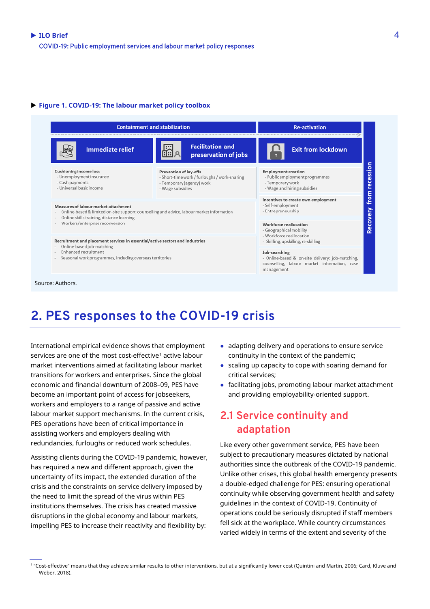#### **Figure 1. COVID-19: The labour market policy toolbox**



### **2. PES responses to the COVID-19 crisis**

International empirical evidence shows that employment services are one of the most cost-effective<sup>[1](#page-3-0)</sup> active labour market interventions aimed at facilitating labour market transitions for workers and enterprises. Since the global economic and financial downturn of 2008–09, PES have become an important point of access for jobseekers, workers and employers to a range of passive and active labour market support mechanisms. In the current crisis, PES operations have been of critical importance in assisting workers and employers dealing with redundancies, furloughs or reduced work schedules.

Assisting clients during the COVID-19 pandemic, however, has required a new and different approach, given the uncertainty of its impact, the extended duration of the crisis and the constraints on service delivery imposed by the need to limit the spread of the virus within PES institutions themselves. The crisis has created massive disruptions in the global economy and labour markets, impelling PES to increase their reactivity and flexibility by:

- adapting delivery and operations to ensure service continuity in the context of the pandemic;
- scaling up capacity to cope with soaring demand for critical services;
- facilitating jobs, promoting labour market attachment and providing employability-oriented support.

### **2.1 Service continuity and adaptation**

Like every other government service, PES have been subject to precautionary measures dictated by national authorities since the outbreak of the COVID-19 pandemic. Unlike other crises, this global health emergency presents a double-edged challenge for PES: ensuring operational continuity while observing government health and safety guidelines in the context of COVID-19. Continuity of operations could be seriously disrupted if staff members fell sick at the workplace. While country circumstances varied widely in terms of the extent and severity of the

<span id="page-3-0"></span><sup>1</sup> "Cost-effective" means that they achieve similar results to other interventions, but at a significantly lower cost (Quintini and Martin, 2006; Card, Kluve and Weber, 2018).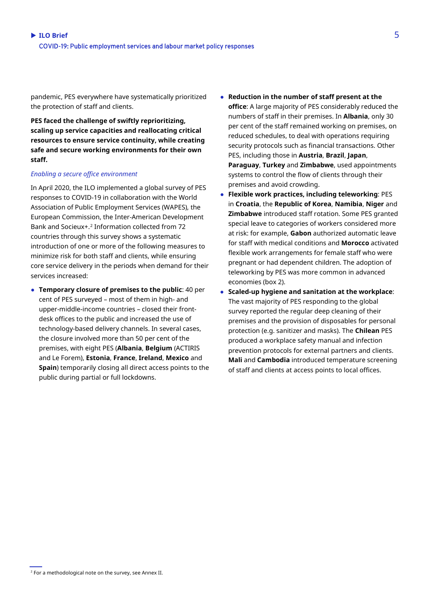pandemic, PES everywhere have systematically prioritized the protection of staff and clients.

**PES faced the challenge of swiftly reprioritizing, scaling up service capacities and reallocating critical resources to ensure service continuity, while creating safe and secure working environments for their own staff.**

#### *Enabling a secure office environment*

In April 2020, the ILO implemented a global survey of PES responses to COVID-19 in collaboration with the World Association of Public Employment Services (WAPES), the European Commission, the Inter-American Development Bank and Socieux+. [2](#page-4-0) Information collected from 72 countries through this survey shows a systematic introduction of one or more of the following measures to minimize risk for both staff and clients, while ensuring core service delivery in the periods when demand for their services increased:

● **Temporary closure of premises to the public**: 40 per cent of PES surveyed – most of them in high- and upper-middle-income countries – closed their frontdesk offices to the public and increased the use of technology-based delivery channels. In several cases, the closure involved more than 50 per cent of the premises, with eight PES (**Albania**, **Belgium** (ACTIRIS and Le Forem), **Estonia**, **France**, **Ireland**, **Mexico** and **Spain**) temporarily closing all direct access points to the public during partial or full lockdowns.

- **Reduction in the number of staff present at the office**: A large majority of PES considerably reduced the numbers of staff in their premises. In **Albania**, only 30 per cent of the staff remained working on premises, on reduced schedules, to deal with operations requiring security protocols such as financial transactions. Other PES, including those in **Austria**, **Brazil**, **Japan**, **Paraguay**, **Turkey** and **Zimbabwe**, used appointments systems to control the flow of clients through their premises and avoid crowding.
- **Flexible work practices, including teleworking**: PES in **Croatia**, the **Republic of Korea**, **Namibia**, **Niger** and **Zimbabwe** introduced staff rotation. Some PES granted special leave to categories of workers considered more at risk: for example, **Gabon** authorized automatic leave for staff with medical conditions and **Morocco** activated flexible work arrangements for female staff who were pregnant or had dependent children. The adoption of teleworking by PES was more common in advanced economies (box 2).
- **Scaled-up hygiene and sanitation at the workplace**: The vast majority of PES responding to the global survey reported the regular deep cleaning of their premises and the provision of disposables for personal protection (e.g. sanitizer and masks). The **Chilean** PES produced a workplace safety manual and infection prevention protocols for external partners and clients. **Mali** and **Cambodia** introduced temperature screening of staff and clients at access points to local offices.

<span id="page-4-0"></span> $2$  For a methodological note on the survey, see Annex II.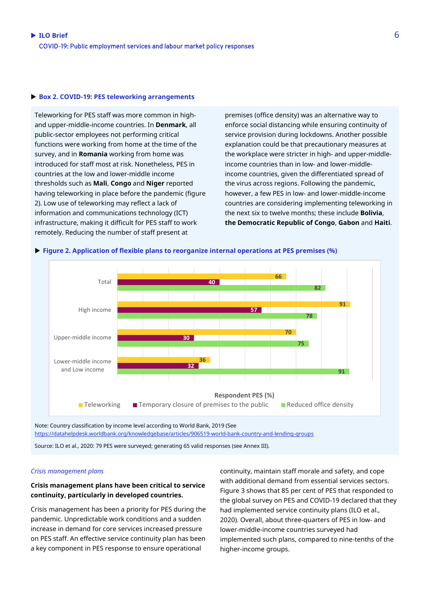#### **Box 2. COVID-19: PES teleworking arrangements**

Teleworking for PES staff was more common in highand upper-middle-income countries. In **Denmark**, all public-sector employees not performing critical functions were working from home at the time of the survey, and in **Romania** working from home was introduced for staff most at risk. Nonetheless, PES in countries at the low and lower-middle income thresholds such as **Mali**, **Congo** and **Niger** reported having teleworking in place before the pandemic (figure 2). Low use of teleworking may reflect a lack of information and communications technology (ICT) infrastructure, making it difficult for PES staff to work remotely. Reducing the number of staff present at

premises (office density) was an alternative way to enforce social distancing while ensuring continuity of service provision during lockdowns. Another possible explanation could be that precautionary measures at the workplace were stricter in high- and upper-middleincome countries than in low- and lower-middleincome countries, given the differentiated spread of the virus across regions. Following the pandemic, however, a few PES in low- and lower-middle-income countries are considering implementing teleworking in the next six to twelve months; these include **Bolivia**, **the Democratic Republic of Congo**, **Gabon** and **Haiti**.





<https://datahelpdesk.worldbank.org/knowledgebase/articles/906519-world-bank-country-and-lending-groups>

Source: ILO et al., 2020: 79 PES were surveyed; generating 65 valid responses (see Annex III).

#### *Crisis management plans*

#### **Crisis management plans have been critical to service continuity, particularly in developed countries.**

Crisis management has been a priority for PES during the pandemic. Unpredictable work conditions and a sudden increase in demand for core services increased pressure on PES staff. An effective service continuity plan has been a key component in PES response to ensure operational

continuity, maintain staff morale and safety, and cope with additional demand from essential services sectors. Figure 3 shows that 85 per cent of PES that responded to the global survey on PES and COVID-19 declared that they had implemented service continuity plans (ILO et al., 2020). Overall, about three-quarters of PES in low- and lower-middle-income countries surveyed had implemented such plans, compared to nine-tenths of the higher-income groups.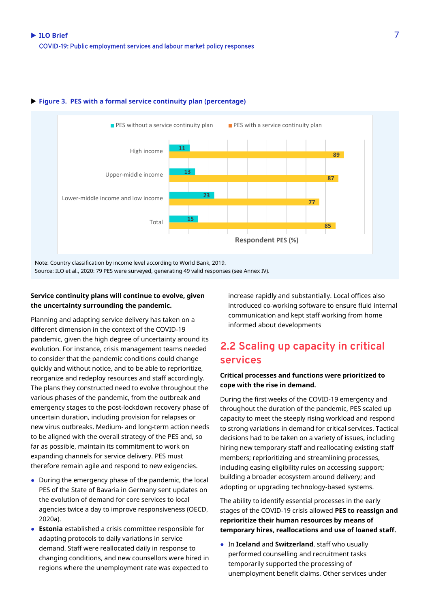

#### **Figure 3. PES with a formal service continuity plan (percentage)**

Note: Country classification by income level according to World Bank, 2019.

Source: ILO et al., 2020: 79 PES were surveyed, generating 49 valid responses (see Annex IV).

#### **Service continuity plans will continue to evolve, given the uncertainty surrounding the pandemic.**

Planning and adapting service delivery has taken on a different dimension in the context of the COVID-19 pandemic, given the high degree of uncertainty around its evolution. For instance, crisis management teams needed to consider that the pandemic conditions could change quickly and without notice, and to be able to reprioritize, reorganize and redeploy resources and staff accordingly. The plans they constructed need to evolve throughout the various phases of the pandemic, from the outbreak and emergency stages to the post-lockdown recovery phase of uncertain duration, including provision for relapses or new virus outbreaks. Medium- and long-term action needs to be aligned with the overall strategy of the PES and, so far as possible, maintain its commitment to work on expanding channels for service delivery. PES must therefore remain agile and respond to new exigencies.

- During the emergency phase of the pandemic, the local PES of the State of Bavaria in Germany sent updates on the evolution of demand for core services to local agencies twice a day to improve responsiveness (OECD, 2020a).
- **Estonia** established a crisis committee responsible for adapting protocols to daily variations in service demand. Staff were reallocated daily in response to changing conditions, and new counsellors were hired in regions where the unemployment rate was expected to

increase rapidly and substantially. Local offices also introduced co-working software to ensure fluid internal communication and kept staff working from home informed about developments

### **2.2 Scaling up capacity in critical services**

#### **Critical processes and functions were prioritized to cope with the rise in demand.**

During the first weeks of the COVID-19 emergency and throughout the duration of the pandemic, PES scaled up capacity to meet the steeply rising workload and respond to strong variations in demand for critical services. Tactical decisions had to be taken on a variety of issues, including hiring new temporary staff and reallocating existing staff members; reprioritizing and streamlining processes, including easing eligibility rules on accessing support; building a broader ecosystem around delivery; and adopting or upgrading technology-based systems.

The ability to identify essential processes in the early stages of the COVID-19 crisis allowed **PES to reassign and reprioritize their human resources by means of temporary hires, reallocations and use of loaned staff.** 

● In **Iceland** and **Switzerland**, staff who usually performed counselling and recruitment tasks temporarily supported the processing of unemployment benefit claims. Other services under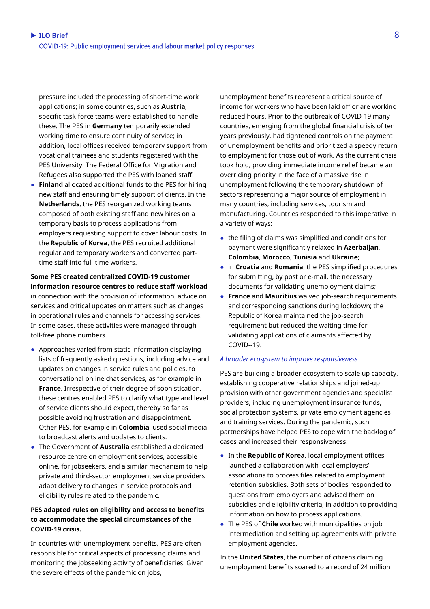pressure included the processing of short-time work applications; in some countries, such as **Austria**, specific task-force teams were established to handle these. The PES in **Germany** temporarily extended working time to ensure continuity of service; in addition, local offices received temporary support from vocational trainees and students registered with the PES University. The Federal Office for Migration and Refugees also supported the PES with loaned staff.

● **Finland** allocated additional funds to the PES for hiring new staff and ensuring timely support of clients. In the **Netherlands**, the PES reorganized working teams composed of both existing staff and new hires on a temporary basis to process applications from employers requesting support to cover labour costs. In the **Republic of Korea**, the PES recruited additional regular and temporary workers and converted parttime staff into full-time workers.

### **Some PES created centralized COVID-19 customer information resource centres to reduce staff workload**

in connection with the provision of information, advice on services and critical updates on matters such as changes in operational rules and channels for accessing services. In some cases, these activities were managed through toll-free phone numbers.

- Approaches varied from static information displaying lists of frequently asked questions, including advice and updates on changes in service rules and policies, to conversational online chat services, as for example in **France**. Irrespective of their degree of sophistication, these centres enabled PES to clarify what type and level of service clients should expect, thereby so far as possible avoiding frustration and disappointment. Other PES, for example in **Colombia**, used social media to broadcast alerts and updates to clients.
- The Government of **Australia** established a dedicated resource centre on employment services, accessible online, for jobseekers, and a similar mechanism to help private and third-sector employment service providers adapt delivery to changes in service protocols and eligibility rules related to the pandemic.

#### **PES adapted rules on eligibility and access to benefits to accommodate the special circumstances of the COVID-19 crisis.**

In countries with unemployment benefits, PES are often responsible for critical aspects of processing claims and monitoring the jobseeking activity of beneficiaries. Given the severe effects of the pandemic on jobs,

unemployment benefits represent a critical source of income for workers who have been laid off or are working reduced hours. Prior to the outbreak of COVID-19 many countries, emerging from the global financial crisis of ten years previously, had tightened controls on the payment of unemployment benefits and prioritized a speedy return to employment for those out of work. As the current crisis took hold, providing immediate income relief became an overriding priority in the face of a massive rise in unemployment following the temporary shutdown of sectors representing a major source of employment in many countries, including services, tourism and manufacturing. Countries responded to this imperative in a variety of ways:

- the filing of claims was simplified and conditions for payment were significantly relaxed in **Azerbaijan**, **Colombia**, **Morocco**, **Tunisia** and **Ukraine**;
- in **Croatia** and **Romania**, the PES simplified procedures for submitting, by post or e-mail, the necessary documents for validating unemployment claims;
- **France** and **Mauritius** waived job-search requirements and corresponding sanctions during lockdown; the Republic of Korea maintained the job-search requirement but reduced the waiting time for validating applications of claimants affected by COVID--19.

#### *A broader ecosystem to improve responsiveness*

PES are building a broader ecosystem to scale up capacity, establishing cooperative relationships and joined-up provision with other government agencies and specialist providers, including unemployment insurance funds, social protection systems, private employment agencies and training services. During the pandemic, such partnerships have helped PES to cope with the backlog of cases and increased their responsiveness.

- In the **Republic of Korea**, local employment offices launched a collaboration with local employers' associations to process files related to employment retention subsidies. Both sets of bodies responded to questions from employers and advised them on subsidies and eligibility criteria, in addition to providing information on how to process applications.
- The PES of **Chile** worked with municipalities on job intermediation and setting up agreements with private employment agencies.

In the **United States**, the number of citizens claiming unemployment benefits soared to a record of 24 million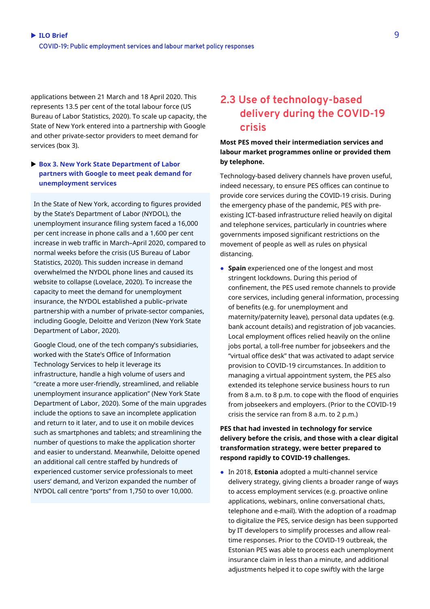applications between 21 March and 18 April 2020. This represents 13.5 per cent of the total labour force (US Bureau of Labor Statistics, 2020). To scale up capacity, the State of New York entered into a partnership with Google and other private-sector providers to meet demand for services (box 3).

#### **Box 3. New York State Department of Labor partners with Google to meet peak demand for unemployment services**

In the State of New York, according to figures provided by the State's Department of Labor (NYDOL), the unemployment insurance filing system faced a 16,000 per cent increase in phone calls and a 1,600 per cent increase in web traffic in March–April 2020, compared to normal weeks before the crisis (US Bureau of Labor Statistics, 2020). This sudden increase in demand overwhelmed the NYDOL phone lines and caused its website to collapse (Lovelace, 2020). To increase the capacity to meet the demand for unemployment insurance, the NYDOL established a public–private partnership with a number of private-sector companies, including Google, Deloitte and Verizon (New York State Department of Labor, 2020).

Google Cloud, one of the tech company's subsidiaries, worked with the State's Office of Information Technology Services to help it leverage its infrastructure, handle a high volume of users and "create a more user-friendly, streamlined, and reliable unemployment insurance application" (New York State Department of Labor, 2020). Some of the main upgrades include the options to save an incomplete application and return to it later, and to use it on mobile devices such as smartphones and tablets; and streamlining the number of questions to make the application shorter and easier to understand. Meanwhile, Deloitte opened an additional call centre staffed by hundreds of experienced customer service professionals to meet users' demand, and Verizon expanded the number of NYDOL call centre "ports" from 1,750 to over 10,000.

### **2.3 Use of technology-based delivery during the COVID-19 crisis**

#### **Most PES moved their intermediation services and labour market programmes online or provided them by telephone.**

Technology-based delivery channels have proven useful, indeed necessary, to ensure PES offices can continue to provide core services during the COVID-19 crisis. During the emergency phase of the pandemic, PES with preexisting ICT-based infrastructure relied heavily on digital and telephone services, particularly in countries where governments imposed significant restrictions on the movement of people as well as rules on physical distancing.

● **Spain** experienced one of the longest and most stringent lockdowns. During this period of confinement, the PES used remote channels to provide core services, including general information, processing of benefits (e.g. for unemployment and maternity/paternity leave), personal data updates (e.g. bank account details) and registration of job vacancies. Local employment offices relied heavily on the online jobs portal, a toll-free number for jobseekers and the "virtual office desk" that was activated to adapt service provision to COVID-19 circumstances. In addition to managing a virtual appointment system, the PES also extended its telephone service business hours to run from 8 a.m. to 8 p.m. to cope with the flood of enquiries from jobseekers and employers. (Prior to the COVID-19 crisis the service ran from 8 a.m. to 2 p.m.)

#### **PES that had invested in technology for service delivery before the crisis, and those with a clear digital transformation strategy, were better prepared to respond rapidly to COVID-19 challenges.**

● In 2018, **Estonia** adopted a multi-channel service delivery strategy, giving clients a broader range of ways to access employment services (e.g. proactive online applications, webinars, online conversational chats, telephone and e-mail). With the adoption of a roadmap to digitalize the PES, service design has been supported by IT developers to simplify processes and allow realtime responses. Prior to the COVID-19 outbreak, the Estonian PES was able to process each unemployment insurance claim in less than a minute, and additional adjustments helped it to cope swiftly with the large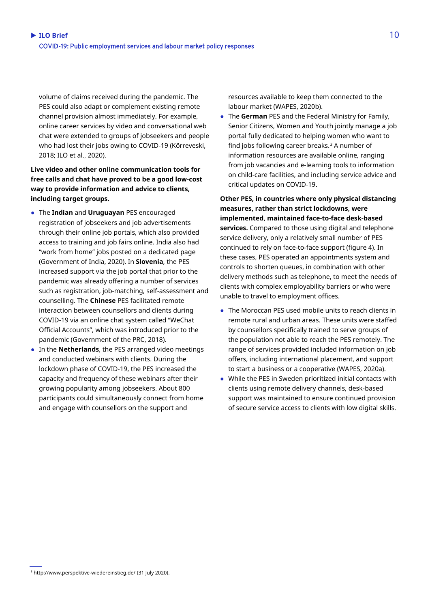volume of claims received during the pandemic. The PES could also adapt or complement existing remote channel provision almost immediately. For example, online career services by video and conversational web chat were extended to groups of jobseekers and people who had lost their jobs owing to COVID-19 (Kõrreveski, 2018; ILO et al., 2020).

**Live video and other online communication tools for free calls and chat have proved to be a good low-cost way to provide information and advice to clients, including target groups.** 

- The **Indian** and **Uruguayan** PES encouraged registration of jobseekers and job advertisements through their online job portals, which also provided access to training and job fairs online. India also had "work from home" jobs posted on a dedicated page (Government of India, 2020). In **Slovenia**, the PES increased support via the job portal that prior to the pandemic was already offering a number of services such as registration, job-matching, self-assessment and counselling. The **Chinese** PES facilitated remote interaction between counsellors and clients during COVID-19 via an online chat system called "WeChat Official Accounts", which was introduced prior to the pandemic (Government of the PRC, 2018).
- In the **Netherlands**, the PES arranged video meetings and conducted webinars with clients. During the lockdown phase of COVID-19, the PES increased the capacity and frequency of these webinars after their growing popularity among jobseekers. About 800 participants could simultaneously connect from home and engage with counsellors on the support and

resources available to keep them connected to the labour market (WAPES, 2020b).

● The **German** PES and the Federal Ministry for Family, Senior Citizens, Women and Youth jointly manage a job portal fully dedicated to helping women who want to find jobs following career breaks.<sup>[3](#page-9-0)</sup> A number of information resources are available online, ranging from job vacancies and e-learning tools to information on child-care facilities, and including service advice and critical updates on COVID-19.

**Other PES, in countries where only physical distancing measures, rather than strict lockdowns, were implemented, maintained face-to-face desk-based services.** Compared to those using digital and telephone service delivery, only a relatively small number of PES continued to rely on face-to-face support (figure 4). In these cases, PES operated an appointments system and controls to shorten queues, in combination with other delivery methods such as telephone, to meet the needs of clients with complex employability barriers or who were unable to travel to employment offices.

- The Moroccan PES used mobile units to reach clients in remote rural and urban areas. These units were staffed by counsellors specifically trained to serve groups of the population not able to reach the PES remotely. The range of services provided included information on job offers, including international placement, and support to start a business or a cooperative (WAPES, 2020a).
- While the PES in Sweden prioritized initial contacts with clients using remote delivery channels, desk-based support was maintained to ensure continued provision of secure service access to clients with low digital skills.

<span id="page-9-0"></span><sup>3</sup> http://www.perspektive-wiedereinstieg.de/ [31 July 2020].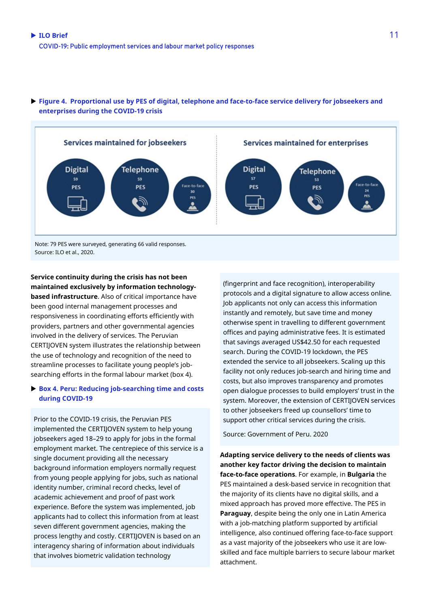

#### **Figure 4. Proportional use by PES of digital, telephone and face-to-face service delivery for jobseekers and enterprises during the COVID-19 crisis**

Source: ILO et al., 2020.

**Service continuity during the crisis has not been maintained exclusively by information technologybased infrastructure**. Also of critical importance have been good internal management processes and responsiveness in coordinating efforts efficiently with providers, partners and other governmental agencies involved in the delivery of services. The Peruvian CERTIJOVEN system illustrates the relationship between the use of technology and recognition of the need to streamline processes to facilitate young people's jobsearching efforts in the formal labour market (box 4).

#### **Box 4. Peru: Reducing job-searching time and costs during COVID-19**

Prior to the COVID-19 crisis, the Peruvian PES implemented the CERTIJOVEN system to help young jobseekers aged 18–29 to apply for jobs in the formal employment market. The centrepiece of this service is a single document providing all the necessary background information employers normally request from young people applying for jobs, such as national identity number, criminal record checks, level of academic achievement and proof of past work experience. Before the system was implemented, job applicants had to collect this information from at least seven different government agencies, making the process lengthy and costly. CERTIJOVEN is based on an interagency sharing of information about individuals that involves biometric validation technology

(fingerprint and face recognition), interoperability protocols and a digital signature to allow access online. Job applicants not only can access this information instantly and remotely, but save time and money otherwise spent in travelling to different government offices and paying administrative fees. It is estimated that savings averaged US\$42.50 for each requested search. During the COVID-19 lockdown, the PES extended the service to all jobseekers. Scaling up this facility not only reduces job-search and hiring time and costs, but also improves transparency and promotes open dialogue processes to build employers' trust in the system. Moreover, the extension of CERTIJOVEN services to other jobseekers freed up counsellors' time to support other critical services during the crisis.

Source: Government of Peru. 2020

**Adapting service delivery to the needs of clients was another key factor driving the decision to maintain face-to-face operations**. For example, in **Bulgaria** the PES maintained a desk-based service in recognition that the majority of its clients have no digital skills, and a mixed approach has proved more effective. The PES in **Paraguay**, despite being the only one in Latin America with a job-matching platform supported by artificial intelligence, also continued offering face-to-face support as a vast majority of the jobseekers who use it are lowskilled and face multiple barriers to secure labour market attachment.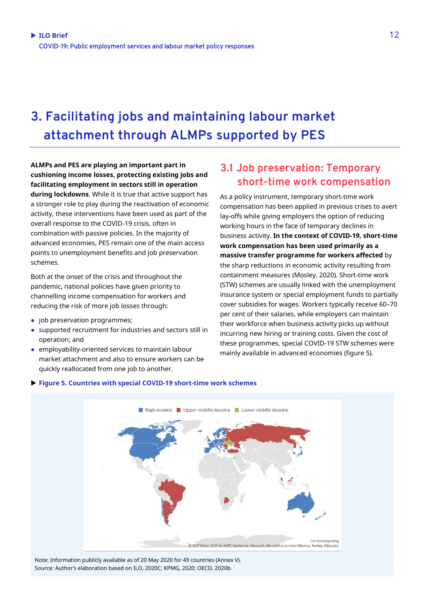## **3. Facilitating jobs and maintaining labour market attachment through ALMPs supported by PES**

**ALMPs and PES are playing an important part in cushioning income losses, protecting existing jobs and facilitating employment in sectors still in operation during lockdowns**. While it is true that active support has a stronger role to play during the reactivation of economic activity, these interventions have been used as part of the overall response to the COVID-19 crisis, often in combination with passive policies. In the majority of advanced economies, PES remain one of the main access points to unemployment benefits and job preservation schemes.

Both at the onset of the crisis and throughout the pandemic, national policies have given priority to channelling income compensation for workers and reducing the risk of more job losses through:

- job preservation programmes;
- supported recruitment for industries and sectors still in operation; and
- employability-oriented services to maintain labour market attachment and also to ensure workers can be quickly reallocated from one job to another.

### **3.1 Job preservation: Temporary short-time work compensation**

As a policy instrument, temporary short-time work compensation has been applied in previous crises to avert lay-offs while giving employers the option of reducing working hours in the face of temporary declines in business activity. **In the context of COVID-19, short-time work compensation has been used primarily as a massive transfer programme for workers affected** by the sharp reductions in economic activity resulting from containment measures (Mosley, 2020). Short-time work (STW) schemes are usually linked with the unemployment insurance system or special employment funds to partially cover subsidies for wages. Workers typically receive 60–70 per cent of their salaries, while employers can maintain their workforce when business activity picks up without incurring new hiring or training costs. Given the cost of these programmes, special COVID-19 STW schemes were mainly available in advanced economies (figure 5).



#### **Figure 5. Countries with special COVID-19 short-time work schemes**

Note: Information publicly available as of 20 May 2020 for 49 countries (Annex V). Source: Author's elaboration based on ILO, 2020C; KPMG, 2020; OECD, 2020b.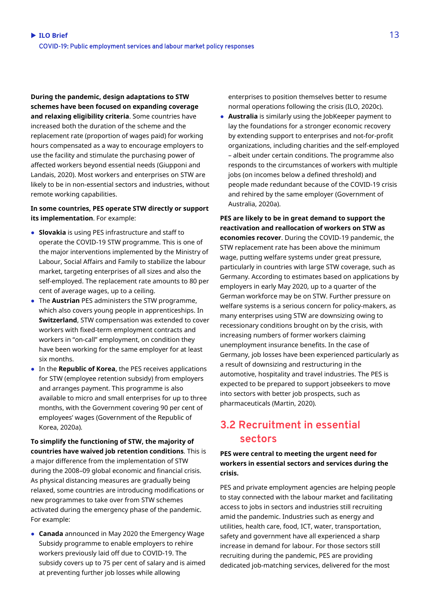**During the pandemic, design adaptations to STW schemes have been focused on expanding coverage and relaxing eligibility criteria**. Some countries have increased both the duration of the scheme and the replacement rate (proportion of wages paid) for working hours compensated as a way to encourage employers to use the facility and stimulate the purchasing power of affected workers beyond essential needs (Giupponi and Landais, 2020). Most workers and enterprises on STW are likely to be in non-essential sectors and industries, without remote working capabilities.

#### **In some countries, PES operate STW directly or support its implementation**. For example:

- **Slovakia** is using PES infrastructure and staff to operate the COVID-19 STW programme. This is one of the major interventions implemented by the Ministry of Labour, Social Affairs and Family to stabilize the labour market, targeting enterprises of all sizes and also the self-employed. The replacement rate amounts to 80 per cent of average wages, up to a ceiling.
- The **Austrian** PES administers the STW programme, which also covers young people in apprenticeships. In **Switzerland**, STW compensation was extended to cover workers with fixed-term employment contracts and workers in "on-call" employment, on condition they have been working for the same employer for at least six months.
- In the **Republic of Korea**, the PES receives applications for STW (employee retention subsidy) from employers and arranges payment. This programme is also available to micro and small enterprises for up to three months, with the Government covering 90 per cent of employees' wages (Government of the Republic of Korea, 2020a).

**To simplify the functioning of STW, the majority of countries have waived job retention conditions**. This is a major difference from the implementation of STW during the 2008–09 global economic and financial crisis. As physical distancing measures are gradually being relaxed, some countries are introducing modifications or new programmes to take over from STW schemes activated during the emergency phase of the pandemic. For example:

● **Canada** announced in May 2020 the Emergency Wage Subsidy programme to enable employers to rehire workers previously laid off due to COVID-19. The subsidy covers up to 75 per cent of salary and is aimed at preventing further job losses while allowing

enterprises to position themselves better to resume normal operations following the crisis (ILO, 2020c).

● **Australia** is similarly using the JobKeeper payment to lay the foundations for a stronger economic recovery by extending support to enterprises and not-for-profit organizations, including charities and the self-employed – albeit under certain conditions. The programme also responds to the circumstances of workers with multiple jobs (on incomes below a defined threshold) and people made redundant because of the COVID-19 crisis and rehired by the same employer (Government of Australia, 2020a).

**PES are likely to be in great demand to support the reactivation and reallocation of workers on STW as economies recover**. During the COVID-19 pandemic, the STW replacement rate has been above the minimum wage, putting welfare systems under great pressure, particularly in countries with large STW coverage, such as Germany. According to estimates based on applications by employers in early May 2020, up to a quarter of the German workforce may be on STW. Further pressure on welfare systems is a serious concern for policy-makers, as many enterprises using STW are downsizing owing to recessionary conditions brought on by the crisis, with increasing numbers of former workers claiming unemployment insurance benefits. In the case of Germany, job losses have been experienced particularly as a result of downsizing and restructuring in the automotive, hospitality and travel industries. The PES is expected to be prepared to support jobseekers to move into sectors with better job prospects, such as pharmaceuticals (Martin, 2020).

### **3.2 Recruitment in essential sectors**

**PES were central to meeting the urgent need for workers in essential sectors and services during the crisis.**

PES and private employment agencies are helping people to stay connected with the labour market and facilitating access to jobs in sectors and industries still recruiting amid the pandemic. Industries such as energy and utilities, health care, food, ICT, water, transportation, safety and government have all experienced a sharp increase in demand for labour. For those sectors still recruiting during the pandemic, PES are providing dedicated job-matching services, delivered for the most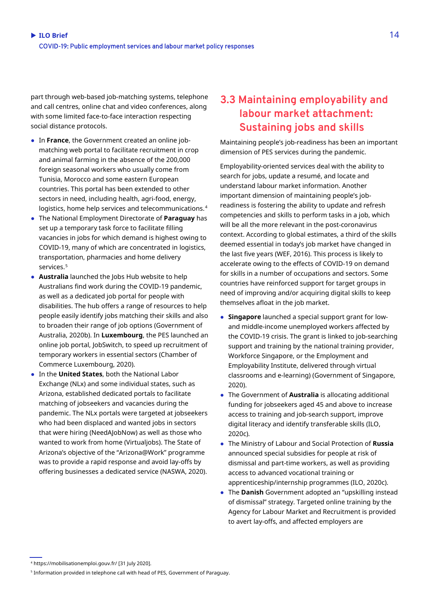part through web-based job-matching systems, telephone and call centres, online chat and video conferences, along with some limited face-to-face interaction respecting social distance protocols.

- In **France**, the Government created an online jobmatching web portal to facilitate recruitment in crop and animal farming in the absence of the 200,000 foreign seasonal workers who usually come from Tunisia, Morocco and some eastern European countries. This portal has been extended to other sectors in need, including health, agri-food, energy, logistics, home help services and telecommunications.[4](#page-13-0)
- The National Employment Directorate of **Paraguay** has set up a temporary task force to facilitate filling vacancies in jobs for which demand is highest owing to COVID-19, many of which are concentrated in logistics, transportation, pharmacies and home delivery services.<sup>[5](#page-13-1)</sup>
- **Australia** launched the Jobs Hub website to help Australians find work during the COVID-19 pandemic, as well as a dedicated job portal for people with disabilities. The hub offers a range of resources to help people easily identify jobs matching their skills and also to broaden their range of job options (Government of Australia, 2020b). In **Luxembourg**, the PES launched an online job portal, JobSwitch, to speed up recruitment of temporary workers in essential sectors (Chamber of Commerce Luxembourg, 2020).
- In the **United States**, both the National Labor Exchange (NLx) and some individual states, such as Arizona, established dedicated portals to facilitate matching of jobseekers and vacancies during the pandemic. The NLx portals were targeted at jobseekers who had been displaced and wanted jobs in sectors that were hiring (NeedAJobNow) as well as those who wanted to work from home (Virtualjobs). The State of Arizona's objective of the "Arizona@Work" programme was to provide a rapid response and avoid lay-offs by offering businesses a dedicated service (NASWA, 2020).

### **3.3 Maintaining employability and labour market attachment: Sustaining jobs and skills**

Maintaining people's job-readiness has been an important dimension of PES services during the pandemic.

Employability-oriented services deal with the ability to search for jobs, update a resumé, and locate and understand labour market information. Another important dimension of maintaining people's jobreadiness is fostering the ability to update and refresh competencies and skills to perform tasks in a job, which will be all the more relevant in the post-coronavirus context. According to global estimates, a third of the skills deemed essential in today's job market have changed in the last five years (WEF, 2016). This process is likely to accelerate owing to the effects of COVID-19 on demand for skills in a number of occupations and sectors. Some countries have reinforced support for target groups in need of improving and/or acquiring digital skills to keep themselves afloat in the job market.

- **Singapore** launched a special support grant for lowand middle-income unemployed workers affected by the COVID-19 crisis. The grant is linked to job-searching support and training by the national training provider, Workforce Singapore, or the Employment and Employability Institute, delivered through virtual classrooms and e-learning) (Government of Singapore, 2020).
- The Government of **Australia** is allocating additional funding for jobseekers aged 45 and above to increase access to training and job-search support, improve digital literacy and identify transferable skills (ILO, 2020c).
- The Ministry of Labour and Social Protection of **Russia** announced special subsidies for people at risk of dismissal and part-time workers, as well as providing access to advanced vocational training or apprenticeship/internship programmes (ILO, 2020c).
- The **Danish** Government adopted an "upskilling instead of dismissal" strategy. Targeted online training by the Agency for Labour Market and Recruitment is provided to avert lay-offs, and affected employers are

<span id="page-13-0"></span><sup>4</sup> https://mobilisationemploi.gouv.fr/ [31 July 2020].

<span id="page-13-1"></span><sup>5</sup> Information provided in telephone call with head of PES, Government of Paraguay.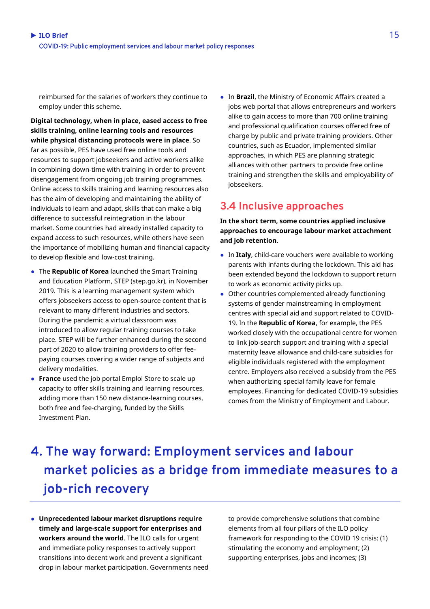reimbursed for the salaries of workers they continue to employ under this scheme.

**Digital technology, when in place, eased access to free skills training, online learning tools and resources while physical distancing protocols were in place**. So far as possible, PES have used free online tools and resources to support jobseekers and active workers alike in combining down-time with training in order to prevent disengagement from ongoing job training programmes. Online access to skills training and learning resources also has the aim of developing and maintaining the ability of individuals to learn and adapt, skills that can make a big difference to successful reintegration in the labour market. Some countries had already installed capacity to expand access to such resources, while others have seen the importance of mobilizing human and financial capacity to develop flexible and low-cost training.

- The **Republic of Korea** launched the Smart Training and Education Platform, STEP (step.go.kr), in November 2019. This is a learning management system which offers jobseekers access to open-source content that is relevant to many different industries and sectors. During the pandemic a virtual classroom was introduced to allow regular training courses to take place. STEP will be further enhanced during the second part of 2020 to allow training providers to offer feepaying courses covering a wider range of subjects and delivery modalities.
- **France** used the job portal Emploi Store to scale up capacity to offer skills training and learning resources, adding more than 150 new distance-learning courses, both free and fee-charging, funded by the Skills Investment Plan.

● In **Brazil**, the Ministry of Economic Affairs created a jobs web portal that allows entrepreneurs and workers alike to gain access to more than 700 online training and professional qualification courses offered free of charge by public and private training providers. Other countries, such as Ecuador, implemented similar approaches, in which PES are planning strategic alliances with other partners to provide free online training and strengthen the skills and employability of jobseekers.

### **3.4 Inclusive approaches**

**In the short term, some countries applied inclusive approaches to encourage labour market attachment and job retention**.

- In **Italy**, child-care vouchers were available to working parents with infants during the lockdown. This aid has been extended beyond the lockdown to support return to work as economic activity picks up.
- Other countries complemented already functioning systems of gender mainstreaming in employment centres with special aid and support related to COVID-19. In the **Republic of Korea**, for example, the PES worked closely with the occupational centre for women to link job-search support and training with a special maternity leave allowance and child-care subsidies for eligible individuals registered with the employment centre. Employers also received a subsidy from the PES when authorizing special family leave for female employees. Financing for dedicated COVID-19 subsidies comes from the Ministry of Employment and Labour.

## **4. The way forward: Employment services and labour market policies as a bridge from immediate measures to a job-rich recovery**

● **Unprecedented labour market disruptions require timely and large-scale support for enterprises and workers around the world**. The ILO calls for urgent and immediate policy responses to actively support transitions into decent work and prevent a significant drop in labour market participation. Governments need to provide comprehensive solutions that combine elements from all four pillars of the ILO policy framework for responding to the COVID 19 crisis: (1) stimulating the economy and employment; (2) supporting enterprises, jobs and incomes; (3)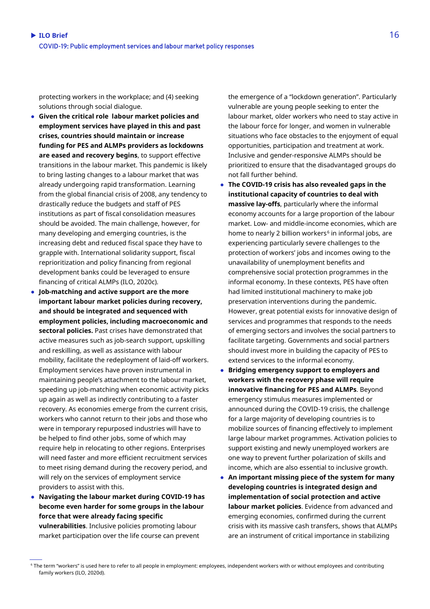protecting workers in the workplace; and (4) seeking solutions through social dialogue.

- **Given the critical role labour market policies and employment services have played in this and past crises, countries should maintain or increase funding for PES and ALMPs providers as lockdowns are eased and recovery begins**, to support effective transitions in the labour market. This pandemic is likely to bring lasting changes to a labour market that was already undergoing rapid transformation. Learning from the global financial crisis of 2008, any tendency to drastically reduce the budgets and staff of PES institutions as part of fiscal consolidation measures should be avoided. The main challenge, however, for many developing and emerging countries, is the increasing debt and reduced fiscal space they have to grapple with. International solidarity support, fiscal reprioritization and policy financing from regional development banks could be leveraged to ensure financing of critical ALMPs (ILO, 2020c).
- **Job-matching and active support are the more important labour market policies during recovery, and should be integrated and sequenced with employment policies, including macroeconomic and sectoral policies.** Past crises have demonstrated that active measures such as job-search support, upskilling and reskilling, as well as assistance with labour mobility, facilitate the redeployment of laid-off workers. Employment services have proven instrumental in maintaining people's attachment to the labour market, speeding up job-matching when economic activity picks up again as well as indirectly contributing to a faster recovery. As economies emerge from the current crisis, workers who cannot return to their jobs and those who were in temporary repurposed industries will have to be helped to find other jobs, some of which may require help in relocating to other regions. Enterprises will need faster and more efficient recruitment services to meet rising demand during the recovery period, and will rely on the services of employment service providers to assist with this.
- **Navigating the labour market during COVID-19 has become even harder for some groups in the labour force that were already facing specific vulnerabilities**. Inclusive policies promoting labour market participation over the life course can prevent

the emergence of a "lockdown generation". Particularly vulnerable are young people seeking to enter the labour market, older workers who need to stay active in the labour force for longer, and women in vulnerable situations who face obstacles to the enjoyment of equal opportunities, participation and treatment at work. Inclusive and gender-responsive ALMPs should be prioritized to ensure that the disadvantaged groups do not fall further behind.

- **The COVID-19 crisis has also revealed gaps in the institutional capacity of countries to deal with massive lay-offs**, particularly where the informal economy accounts for a large proportion of the labour market. Low- and middle-income economies, which are home to nearly 2 billion workers<sup>[6](#page-15-0)</sup> in informal jobs, are experiencing particularly severe challenges to the protection of workers' jobs and incomes owing to the unavailability of unemployment benefits and comprehensive social protection programmes in the informal economy. In these contexts, PES have often had limited institutional machinery to make job preservation interventions during the pandemic. However, great potential exists for innovative design of services and programmes that responds to the needs of emerging sectors and involves the social partners to facilitate targeting. Governments and social partners should invest more in building the capacity of PES to extend services to the informal economy.
- **Bridging emergency support to employers and workers with the recovery phase will require innovative financing for PES and ALMPs**. Beyond emergency stimulus measures implemented or announced during the COVID-19 crisis, the challenge for a large majority of developing countries is to mobilize sources of financing effectively to implement large labour market programmes. Activation policies to support existing and newly unemployed workers are one way to prevent further polarization of skills and income, which are also essential to inclusive growth.
- **An important missing piece of the system for many developing countries is integrated design and implementation of social protection and active labour market policies**. Evidence from advanced and emerging economies, confirmed during the current crisis with its massive cash transfers, shows that ALMPs are an instrument of critical importance in stabilizing

<span id="page-15-0"></span><sup>6</sup> The term "workers" is used here to refer to all people in employment: employees, independent workers with or without employees and contributing family workers (ILO, 2020d).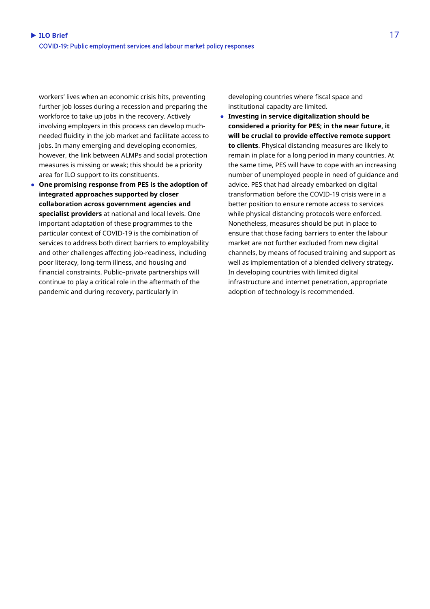workers' lives when an economic crisis hits, preventing further job losses during a recession and preparing the workforce to take up jobs in the recovery. Actively involving employers in this process can develop muchneeded fluidity in the job market and facilitate access to jobs. In many emerging and developing economies, however, the link between ALMPs and social protection measures is missing or weak; this should be a priority area for ILO support to its constituents.

● **One promising response from PES is the adoption of integrated approaches supported by closer collaboration across government agencies and specialist providers** at national and local levels. One important adaptation of these programmes to the particular context of COVID-19 is the combination of services to address both direct barriers to employability and other challenges affecting job-readiness, including poor literacy, long-term illness, and housing and financial constraints. Public–private partnerships will continue to play a critical role in the aftermath of the pandemic and during recovery, particularly in

developing countries where fiscal space and institutional capacity are limited.

● **Investing in service digitalization should be considered a priority for PES; in the near future, it will be crucial to provide effective remote support to clients**. Physical distancing measures are likely to remain in place for a long period in many countries. At the same time, PES will have to cope with an increasing number of unemployed people in need of guidance and advice. PES that had already embarked on digital transformation before the COVID-19 crisis were in a better position to ensure remote access to services while physical distancing protocols were enforced. Nonetheless, measures should be put in place to ensure that those facing barriers to enter the labour market are not further excluded from new digital channels, by means of focused training and support as well as implementation of a blended delivery strategy. In developing countries with limited digital infrastructure and internet penetration, appropriate adoption of technology is recommended.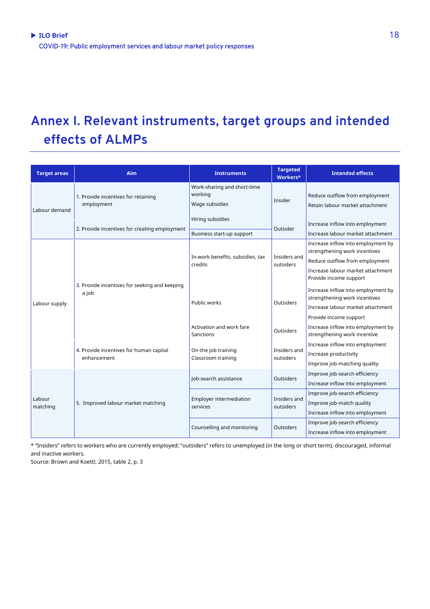## **Annex I. Relevant instruments, target groups and intended effects of ALMPs**

| <b>Target areas</b> | Aim                                                    | <b>Instruments</b>                            | <b>Targeted</b><br>Workers* | <b>Intended effects</b>                                                                                                                                      |
|---------------------|--------------------------------------------------------|-----------------------------------------------|-----------------------------|--------------------------------------------------------------------------------------------------------------------------------------------------------------|
| Labour demand       | 1. Provide incentives for retaining<br>employment      | Work-sharing and short-time<br>working        | Insider                     | Reduce outflow from employment                                                                                                                               |
|                     |                                                        | Wage subsidies                                |                             | Retain labour market attachment                                                                                                                              |
|                     | 2. Provide incentives for creating employment          | Hiring subsidies<br>Business start-up support | Outsider                    | Increase inflow into employment<br>Increase labour market attachment                                                                                         |
| Labour supply       | 3. Provide incentives for seeking and keeping<br>a job | In-work benefits, subsidies, tax<br>credits   | Insiders and<br>outsiders   | Increase inflow into employment by<br>strengthening work incentives<br>Reduce outflow from employment<br>Increase labour market attachment                   |
|                     |                                                        | Public works                                  | <b>Outsiders</b>            | Provide income support<br>Increase inflow into employment by<br>strengthening work incentives<br>Increase labour market attachment<br>Provide income support |
|                     |                                                        | Activation and work fare<br>Sanctions         | Outsiders                   | Increase inflow into employment by<br>strengthening work incentive                                                                                           |
|                     | 4. Provide incentives for human capital<br>enhancement | On-the job training<br>Classroom training     | Insiders and<br>outsiders   | Increase inflow into employment<br>Increase productivity<br>Improve job-matching quality                                                                     |
| Labour<br>matching  | 5. Improved labour market matching                     | lob-search assistance                         | <b>Outsiders</b>            | Improve job-search efficiency<br>Increase inflow into employment                                                                                             |
|                     |                                                        | Employer intermediation<br>services           | Insiders and<br>outsiders   | Improve job-search efficiency<br>Improve job-match quality<br>Increase inflow into employment                                                                |
|                     |                                                        | Counselling and monitoring                    | <b>Outsiders</b>            | Improve job-search efficiency<br>Increase inflow into employment                                                                                             |

\* "Insiders" refers to workers who are currently employed; "outsiders" refers to unemployed (in the long or short term), discouraged, informal and inactive workers.

Source: Brown and Koettl, 2015, table 2, p. 3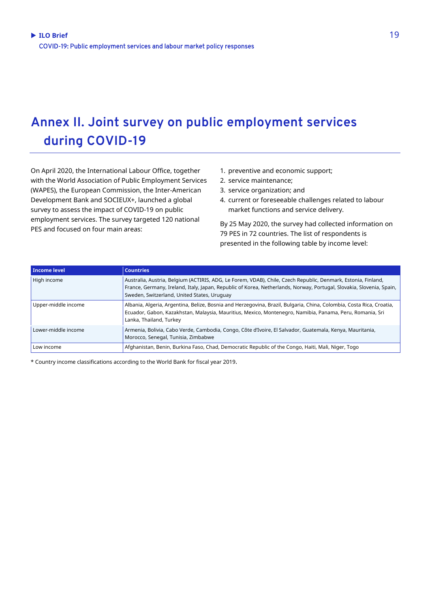## **Annex II. Joint survey on public employment services during COVID-19**

On April 2020, the International Labour Office, together with the World Association of Public Employment Services (WAPES), the European Commission, the Inter-American Development Bank and SOCIEUX+, launched a global survey to assess the impact of COVID-19 on public employment services. The survey targeted 120 national PES and focused on four main areas:

- 1. preventive and economic support;
- 2. service maintenance;
- 3. service organization; and
- 4. current or foreseeable challenges related to labour market functions and service delivery.

By 25 May 2020, the survey had collected information on 79 PES in 72 countries. The list of respondents is presented in the following table by income level:

| Income level        | <b>Countries</b>                                                                                                                                                                                                                                                                     |
|---------------------|--------------------------------------------------------------------------------------------------------------------------------------------------------------------------------------------------------------------------------------------------------------------------------------|
| High income         | Australia, Austria, Belgium (ACTIRIS, ADG, Le Forem, VDAB), Chile, Czech Republic, Denmark, Estonia, Finland,<br>France, Germany, Ireland, Italy, Japan, Republic of Korea, Netherlands, Norway, Portugal, Slovakia, Slovenia, Spain,<br>Sweden, Switzerland, United States, Uruguay |
| Upper-middle income | Albania, Algeria, Argentina, Belize, Bosnia and Herzegovina, Brazil, Bulgaria, China, Colombia, Costa Rica, Croatia,<br>Ecuador, Gabon, Kazakhstan, Malaysia, Mauritius, Mexico, Montenegro, Namibia, Panama, Peru, Romania, Sri<br>Lanka, Thailand, Turkey                          |
| Lower-middle income | Armenia, Bolivia, Cabo Verde, Cambodia, Congo, Côte d'Ivoire, El Salvador, Guatemala, Kenya, Mauritania,<br>Morocco, Senegal, Tunisia, Zimbabwe                                                                                                                                      |
| Low income          | Afghanistan, Benin, Burkina Faso, Chad, Democratic Republic of the Congo, Haiti, Mali, Niger, Togo                                                                                                                                                                                   |

\* Country income classifications according to the World Bank for fiscal year 2019.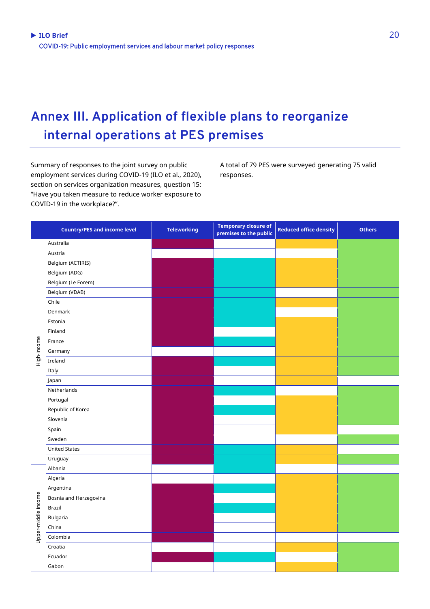## **Annex III. Application of flexible plans to reorganize internal operations at PES premises**

Summary of responses to the joint survey on public employment services during COVID-19 (ILO et al., 2020), section on services organization measures, question 15: "Have you taken measure to reduce worker exposure to COVID-19 in the workplace?".

A total of 79 PES were surveyed generating 75 valid responses.

|                     | <b>Country/PES and income level</b> | <b>Teleworking</b> | <b>Temporary closure of</b><br>premises to the public | <b>Reduced office density</b> | <b>Others</b> |
|---------------------|-------------------------------------|--------------------|-------------------------------------------------------|-------------------------------|---------------|
|                     | Australia                           |                    |                                                       |                               |               |
|                     | Austria                             |                    |                                                       |                               |               |
|                     | Belgium (ACTIRIS)                   |                    |                                                       |                               |               |
|                     | Belgium (ADG)                       |                    |                                                       |                               |               |
|                     | Belgium (Le Forem)                  |                    |                                                       |                               |               |
|                     | Belgium (VDAB)                      |                    |                                                       |                               |               |
|                     | Chile                               |                    |                                                       |                               |               |
|                     | Denmark                             |                    |                                                       |                               |               |
|                     | Estonia                             |                    |                                                       |                               |               |
|                     | Finland                             |                    |                                                       |                               |               |
|                     | France                              |                    |                                                       |                               |               |
| High-income         | Germany                             |                    |                                                       |                               |               |
|                     | Ireland                             |                    |                                                       |                               |               |
|                     | Italy                               |                    |                                                       |                               |               |
|                     | Japan                               |                    |                                                       |                               |               |
|                     | Netherlands                         |                    |                                                       |                               |               |
|                     | Portugal                            |                    |                                                       |                               |               |
|                     | Republic of Korea                   |                    |                                                       |                               |               |
|                     | Slovenia                            |                    |                                                       |                               |               |
|                     | Spain                               |                    |                                                       |                               |               |
|                     | Sweden                              |                    |                                                       |                               |               |
|                     | <b>United States</b>                |                    |                                                       |                               |               |
|                     | Uruguay                             |                    |                                                       |                               |               |
|                     | Albania                             |                    |                                                       |                               |               |
|                     | Algeria                             |                    |                                                       |                               |               |
|                     | Argentina                           |                    |                                                       |                               |               |
| Upper-middle income | Bosnia and Herzegovina              |                    |                                                       |                               |               |
|                     | Brazil                              |                    |                                                       |                               |               |
|                     | Bulgaria                            |                    |                                                       |                               |               |
|                     | China                               |                    |                                                       |                               |               |
|                     | Colombia                            |                    |                                                       |                               |               |
|                     | Croatia                             |                    |                                                       |                               |               |
|                     | Ecuador                             |                    |                                                       |                               |               |
|                     | Gabon                               |                    |                                                       |                               |               |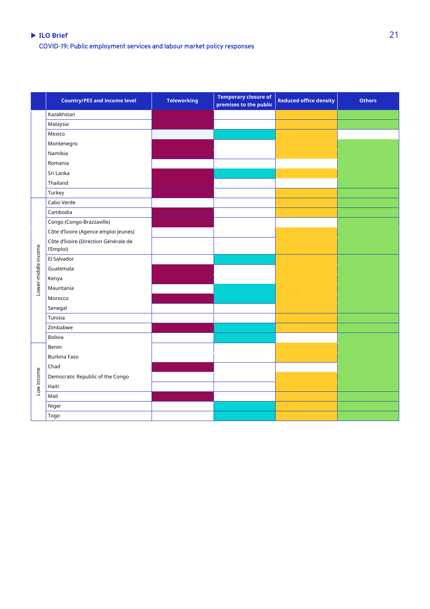#### **ILO Brief** 21 COVID-19: Public employment services and labour market policy responses

|                     | <b>Country/PES and income level</b>               | <b>Teleworking</b> | <b>Temporary closure of</b><br>premises to the public | <b>Reduced office density</b> | <b>Others</b> |
|---------------------|---------------------------------------------------|--------------------|-------------------------------------------------------|-------------------------------|---------------|
|                     | Kazakhstan                                        |                    |                                                       |                               |               |
|                     | Malaysia                                          |                    |                                                       |                               |               |
|                     | Mexico                                            |                    |                                                       |                               |               |
|                     | Montenegro                                        |                    |                                                       |                               |               |
|                     | Namibia                                           |                    |                                                       |                               |               |
|                     | Romania                                           |                    |                                                       |                               |               |
|                     | Sri Lanka                                         |                    |                                                       |                               |               |
|                     | Thailand                                          |                    |                                                       |                               |               |
|                     | Turkey                                            |                    |                                                       |                               |               |
|                     | Cabo Verde                                        |                    |                                                       |                               |               |
|                     | Cambodia                                          |                    |                                                       |                               |               |
|                     | Congo (Congo-Brazzaville)                         |                    |                                                       |                               |               |
| Lower-middle income | Côte d'Ivoire (Agence emploi Jeunes)              |                    |                                                       |                               |               |
|                     | Côte d'Ivoire (Direction Générale de<br>l'Emploi) |                    |                                                       |                               |               |
|                     | El Salvador                                       |                    |                                                       |                               |               |
|                     | Guatemala                                         |                    |                                                       |                               |               |
|                     | Kenya                                             |                    |                                                       |                               |               |
|                     | Mauritania                                        |                    |                                                       |                               |               |
|                     | Morocco                                           |                    |                                                       |                               |               |
|                     | Senegal                                           |                    |                                                       |                               |               |
|                     | Tunisia                                           |                    |                                                       |                               |               |
|                     | Zimbabwe                                          |                    |                                                       |                               |               |
|                     | Bolivia                                           |                    |                                                       |                               |               |
|                     | Benin                                             |                    |                                                       |                               |               |
| Low income          | Burkina Faso                                      |                    |                                                       |                               |               |
|                     | Chad                                              |                    |                                                       |                               |               |
|                     | Democratic Republic of the Congo                  |                    |                                                       |                               |               |
|                     | Haiti                                             |                    |                                                       |                               |               |
|                     | Mali                                              |                    |                                                       |                               |               |
|                     | Niger                                             |                    |                                                       |                               |               |
|                     | Togo                                              |                    |                                                       |                               |               |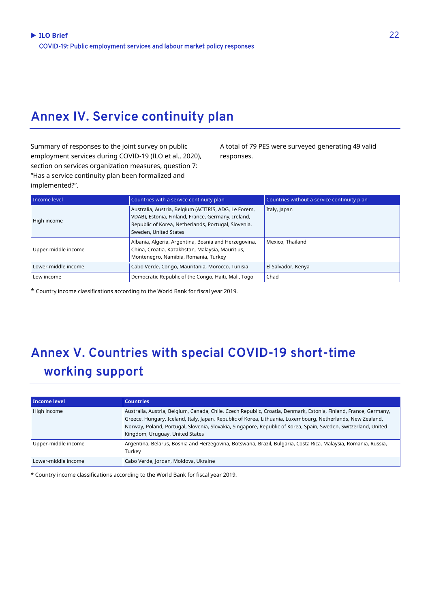## **Annex IV. Service continuity plan**

Summary of responses to the joint survey on public employment services during COVID-19 (ILO et al., 2020), section on services organization measures, question 7: "Has a service continuity plan been formalized and implemented?".

A total of 79 PES were surveyed generating 49 valid responses.

| Income level        | Countries with a service continuity plan                                                                                                                                                   | Countries without a service continuity plan |
|---------------------|--------------------------------------------------------------------------------------------------------------------------------------------------------------------------------------------|---------------------------------------------|
| High income         | Australia, Austria, Belgium (ACTIRIS, ADG, Le Forem,<br>VDAB), Estonia, Finland, France, Germany, Ireland,<br>Republic of Korea, Netherlands, Portugal, Slovenia,<br>Sweden, United States | Italy, Japan                                |
| Upper-middle income | Albania, Algeria, Argentina, Bosnia and Herzegovina,<br>China, Croatia, Kazakhstan, Malaysia, Mauritius,<br>Montenegro, Namibia, Romania, Turkey                                           | Mexico, Thailand                            |
| Lower-middle income | Cabo Verde, Congo, Mauritania, Morocco, Tunisia                                                                                                                                            | El Salvador, Kenya                          |
| Low income          | Democratic Republic of the Congo, Haiti, Mali, Togo                                                                                                                                        | Chad                                        |

\* Country income classifications according to the World Bank for fiscal year 2019.

## **Annex V. Countries with special COVID-19 short-time working support**

| Income level        | <b>Countries</b>                                                                                                                                                                                                                                                                                                                                                                     |
|---------------------|--------------------------------------------------------------------------------------------------------------------------------------------------------------------------------------------------------------------------------------------------------------------------------------------------------------------------------------------------------------------------------------|
| High income         | Australia, Austria, Belgium, Canada, Chile, Czech Republic, Croatia, Denmark, Estonia, Finland, France, Germany,<br>Greece, Hungary, Iceland, Italy, Japan, Republic of Korea, Lithuania, Luxembourg, Netherlands, New Zealand,<br>Norway, Poland, Portugal, Slovenia, Slovakia, Singapore, Republic of Korea, Spain, Sweden, Switzerland, United<br>Kingdom, Uruguay, United States |
| Upper-middle income | Argentina, Belarus, Bosnia and Herzegovina, Botswana, Brazil, Bulgaria, Costa Rica, Malaysia, Romania, Russia,<br>Turkey                                                                                                                                                                                                                                                             |
| Lower-middle income | Cabo Verde, Jordan, Moldova, Ukraine                                                                                                                                                                                                                                                                                                                                                 |

\* Country income classifications according to the World Bank for fiscal year 2019.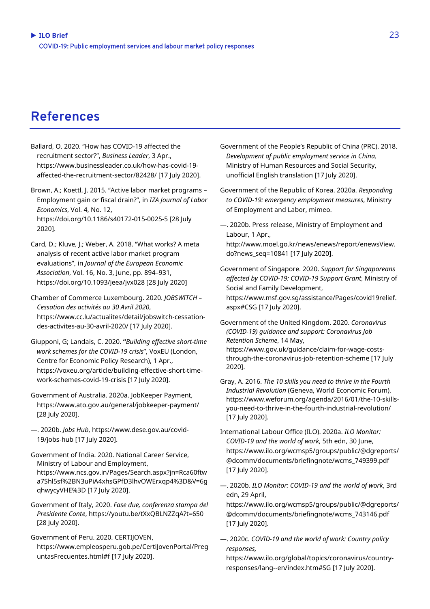### **References**

Ballard, O. 2020. "How has COVID-19 affected the recruitment sector?", *Business Leader*, 3 Apr., [https://www.businessleader.co.uk/how-has-covid-19](about:blank) [affected-the-recruitment-sector/82428/](about:blank) [17 July 2020].

Brown, A.; Koettl, J. 2015. "Active labor market programs – Employment gain or fiscal drain?", in *IZA Journal of Labor Economics*, Vol. 4, No. 12, <https://doi.org/10.1186/s40172-015-0025-5> [28 July 2020].

- Card, D.; Kluve, J.; Weber, A. 2018. "What works? A meta analysis of recent active labor market program evaluations", in *Journal of the European Economic Association*, Vol. 16, No. 3, June, pp. 894–931, https://doi.org/10.1093/jeea/jvx028 [28 July 2020]
- Chamber of Commerce Luxembourg. 2020. *JOBSWITCH – Cessation des activités au 30 Avril 2020*, [https://www.cc.lu/actualites/detail/jobswitch-cessation](about:blank)[des-activites-au-30-avril-2020/](about:blank) [17 July 2020].
- Giupponi, G; Landais, C. 2020. **"***Building effective short-time work schemes for the COVID-19 crisis*", VoxEU (London, Centre for Economic Policy Research), 1 Apr., [https://voxeu.org/article/building-effective-short-time](about:blank)[work-schemes-covid-19-crisis](about:blank) [17 July 2020].
- Government of Australia. 2020a. JobKeeper Payment, https://www.ato.gov.au/general/jobkeeper-payment/ [28 July 2020].
- —. 2020b. *Jobs Hub*[, https://www.dese.gov.au/covid-](about:blank)[19/jobs-hub](about:blank) [17 July 2020].
- Government of India. 2020. National Career Service, Ministry of Labour and Employment, [https://www.ncs.gov.in/Pages/Search.aspx?jn=Rca60ftw](about:blank) [a7Shl5sf%2BN3uPiA4xhsGPfD3lhvOWErxqp4%3D&V=6g](about:blank) [qhwycyVHE%3D](about:blank) [17 July 2020].
- Government of Italy, 2020. *Fase due, conferenza stampa del Presidente Conte*, https://youtu.be/tXxQBLNZZqA?t=650 [28 July 2020].

Government of Peru. 2020. CERTIJOVEN, [https://www.empleosperu.gob.pe/CertiJovenPortal/Preg](https://www.empleosperu.gob.pe/CertiJovenPortal/PreguntasFrecuentes.html) [untasFrecuentes.html#f](https://www.empleosperu.gob.pe/CertiJovenPortal/PreguntasFrecuentes.html) [17 July 2020].

- Government of the People's Republic of China (PRC). 2018. *Development of public employment service in China,* Ministry of Human Resources and Social Security, unofficial English translation [17 July 2020].
- Government of the Republic of Korea. 2020a. *Responding to COVID-19: emergency employment measures*, Ministry of Employment and Labor, mimeo.
- —. 2020b. Press release, Ministry of Employment and Labour, 1 Apr.,

[http://www.moel.go.kr/news/enews/report/enewsView.](about:blank) [do?news\\_seq=10841](about:blank) [17 July 2020].

- Government of Singapore. 2020. *Support for Singaporeans affected by COVID-19: COVID-19 Support Grant*, Ministry of Social and Family Development, [https://www.msf.gov.sg/assistance/Pages/covid19relief.](about:blank#CSG) [aspx#CSG](about:blank#CSG) [17 July 2020].
- Government of the United Kingdom. 2020. *Coronavirus (COVID-19) guidance and support: Coronavirus Job Retention Scheme*, 14 May, [https://www.gov.uk/guidance/claim-for-wage-costs](about:blank)[through-the-coronavirus-job-retention-scheme](about:blank) [17 July 2020].
- Gray, A. 2016. *The 10 skills you need to thrive in the Fourth Industrial Revolution* (Geneva, World Economic Forum), [https://www.weforum.org/agenda/2016/01/the-10-skills](about:blank)[you-need-to-thrive-in-the-fourth-industrial-revolution/](about:blank) [17 July 2020].
- International Labour Office (ILO). 2020a. *ILO Monitor: COVID-19 and the world of work*, 5th edn, 30 June, [https://www.ilo.org/wcmsp5/groups/public/@dgreports/](about:blank) [@dcomm/documents/briefingnote/wcms\\_749399.pdf](about:blank) [17 July 2020].
- —. 2020b. *ILO Monitor: COVID-19 and the world of work*, 3rd edn, 29 April,
- https://www.ilo.org/wcmsp5/groups/public/@dgreports/ @dcomm/documents/briefingnote/wcms\_743146.pdf [17 July 2020].
- —. 2020c. *COVID-19 and the world of work: Country policy responses,*
	- [https://www.ilo.org/global/topics/coronavirus/country](about:blank#SG)[responses/lang--en/index.htm#SG](about:blank#SG) [17 July 2020].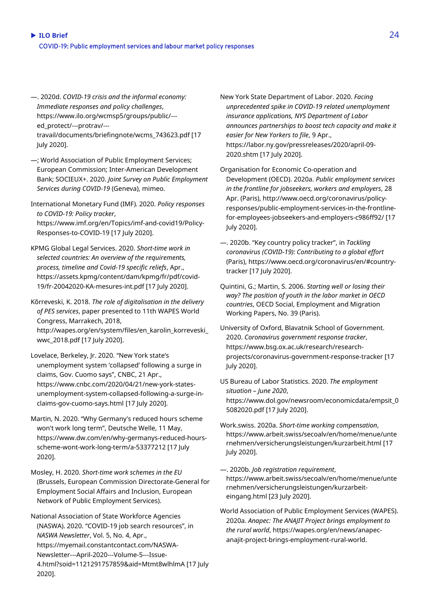- —. 2020d. *COVID-19 crisis and the informal economy: Immediate responses and policy challenges*, [https://www.ilo.org/wcmsp5/groups/public/--](https://www.ilo.org/wcmsp5/groups/public/---ed_protect/---protrav/---travail/documents/briefingnote/wcms_743623.pdf) [ed\\_protect/---protrav/--](https://www.ilo.org/wcmsp5/groups/public/---ed_protect/---protrav/---travail/documents/briefingnote/wcms_743623.pdf) [travail/documents/briefingnote/wcms\\_743623.pdf](https://www.ilo.org/wcmsp5/groups/public/---ed_protect/---protrav/---travail/documents/briefingnote/wcms_743623.pdf) [17 July 2020].
- —; World Association of Public Employment Services; European Commission; Inter-American Development Bank; SOCIEUX+. 2020. *Joint Survey on Public Employment Services during COVID-19* (Geneva), mimeo.
- International Monetary Fund (IMF). 2020. *Policy responses to COVID-19: Policy tracker*, [https://www.imf.org/en/Topics/imf-and-covid19/Policy-](about:blank)[Responses-to-COVID-19](about:blank) [17 July 2020].
- KPMG Global Legal Services. 2020. *Short-time work in selected countries: An overview of the requirements, process, timeline and Covid-19 specific reliefs*, Apr., [https://assets.kpmg/content/dam/kpmg/fr/pdf/covid-](about:blank)[19/fr-20042020-KA-mesures-int.pdf](about:blank) [17 July 2020].
- Kõrreveski, K. 2018. *The role of digitalisation in the delivery of PES services*, paper presented to 11th WAPES World Congress, Marrakech, 2018, [http://wapes.org/en/system/files/en\\_karolin\\_korreveski\\_](about:blank) [wwc\\_2018.pdf](about:blank) [17 July 2020].
- Lovelace, Berkeley, Jr. 2020. "New York state's unemployment system 'collapsed' following a surge in claims, Gov. Cuomo says", CNBC, 21 Apr., [https://www.cnbc.com/2020/04/21/new-york-states](about:blank)[unemployment-system-collapsed-following-a-surge-in](about:blank)[claims-gov-cuomo-says.html](about:blank) [17 July 2020].
- Martin, N. 2020. "Why Germany's reduced hours scheme won't work long term", Deutsche Welle, 11 May, [https://www.dw.com/en/why-germanys-reduced-hours](about:blank)[scheme-wont-work-long-term/a-53377212](about:blank) [17 July 2020].
- Mosley, H. 2020. *Short-time work schemes in the EU* (Brussels, European Commission Directorate-General for Employment Social Affairs and Inclusion, European Network of Public Employment Services).
- National Association of State Workforce Agencies (NASWA). 2020. "COVID-19 job search resources", in *NASWA Newsletter*, Vol. 5, No. 4, Apr., [https://myemail.constantcontact.com/NASWA-](about:blank)[Newsletter---April-2020---Volume-5---Issue-](about:blank)[4.html?soid=1121291757859&aid=Mtmt8wlhlmA](about:blank) [17 July 2020].

New York State Department of Labor. 2020. *Facing unprecedented spike in COVID-19 related unemployment insurance applications, NYS Department of Labor announces partnerships to boost tech capacity and make it easier for New Yorkers to file*, 9 Apr., [https://labor.ny.gov/pressreleases/2020/april-09-](about:blank) [2020.shtm](about:blank) [17 July 2020].

- Organisation for Economic Co-operation and Development (OECD). 2020a. *Public employment services in the frontline for jobseekers, workers and employers*, 28 Apr. (Paris), [http://www.oecd.org/coronavirus/policy](about:blank)[responses/public-employment-services-in-the-frontline](about:blank)[for-employees-jobseekers-and-employers-c986ff92/](about:blank) [17 July 2020].
- —. 2020b. "Key country policy tracker", in *Tackling coronavirus (COVID-19): Contributing to a global effort*  (Paris), [https://www.oecd.org/coronavirus/en/#country](about:blank#country-tracker)[tracker](about:blank#country-tracker) [17 July 2020].
- Quintini, G.; Martin, S. 2006. *Starting well or losing their way? The position of youth in the labor market in OECD countries*, OECD Social, Employment and Migration Working Papers, No. 39 (Paris).
- University of Oxford, Blavatnik School of Government. 2020. *Coronavirus government response tracker*, [https://www.bsg.ox.ac.uk/research/research](about:blank)[projects/coronavirus-government-response-tracker](about:blank) [17 July 2020].
- US Bureau of Labor Statistics. 2020. *The employment situation – June 2020*, https://www.dol.gov/newsroom/economicdata/empsit\_0 5082020.pdf [17 July 2020].
- Work.swiss. 2020a. *Short-time working compensation*, [https://www.arbeit.swiss/secoalv/en/home/menue/unte](about:blank) [rnehmen/versicherungsleistungen/kurzarbeit.html](about:blank) [17 July 2020].
- —. 2020b. *Job registration requirement*, [https://www.arbeit.swiss/secoalv/en/home/menue/unte](https://www.arbeit.swiss/secoalv/en/home/menue/unternehmen/versicherungsleistungen/kurzarbeit-eingang.html) [rnehmen/versicherungsleistungen/kurzarbeit](https://www.arbeit.swiss/secoalv/en/home/menue/unternehmen/versicherungsleistungen/kurzarbeit-eingang.html)[eingang.html](https://www.arbeit.swiss/secoalv/en/home/menue/unternehmen/versicherungsleistungen/kurzarbeit-eingang.html) [23 July 2020].
- World Association of Public Employment Services (WAPES). 2020a. *Anapec: The ANAJIT Project brings employment to the rural world*, [https://wapes.org/en/news/anapec](about:blank)[anajit-project-brings-employment-rural-world.](about:blank)